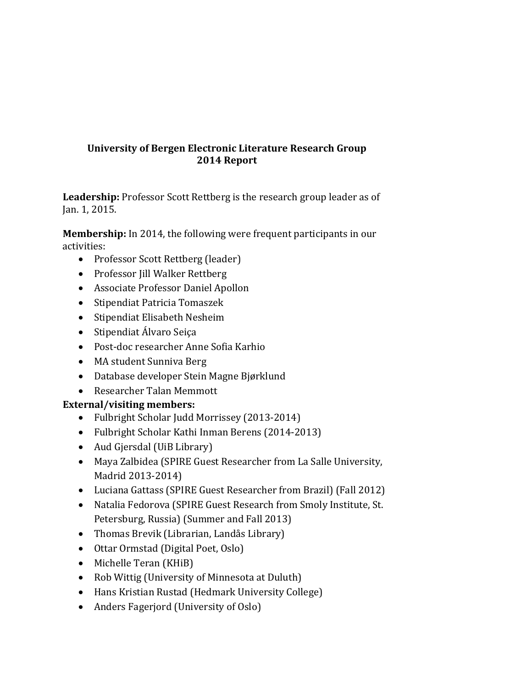# **University of Bergen Electronic Literature Research Group 2014 Report**

**Leadership:** Professor Scott Rettberg is the research group leader as of Jan. 1, 2015.

**Membership:** In 2014, the following were frequent participants in our activities:

- Professor Scott Rettberg (leader)
- Professor Jill Walker Rettberg
- Associate Professor Daniel Apollon
- Stipendiat Patricia Tomaszek
- Stipendiat Elisabeth Nesheim
- $\bullet$  Stipendiat Álvaro Seiça
- Post-doc researcher Anne Sofia Karhio
- MA student Sunniva Berg
- Database developer Stein Magne Bjørklund
- Researcher Talan Memmott

# **External/visiting members:**

- Fulbright Scholar Judd Morrissey (2013-2014)
- Fulbright Scholar Kathi Inman Berens (2014-2013)
- Aud Gjersdal (UiB Library)
- Maya Zalbidea (SPIRE Guest Researcher from La Salle University, Madrid 2013-2014)
- Luciana Gattass (SPIRE Guest Researcher from Brazil) (Fall 2012)
- Natalia Fedorova (SPIRE Guest Research from Smoly Institute, St. Petersburg, Russia) (Summer and Fall 2013)
- Thomas Brevik (Librarian, Landås Library)
- Ottar Ormstad (Digital Poet, Oslo)
- Michelle Teran (KHiB)
- Rob Wittig (University of Minnesota at Duluth)
- Hans Kristian Rustad (Hedmark University College)
- Anders Fagerjord (University of Oslo)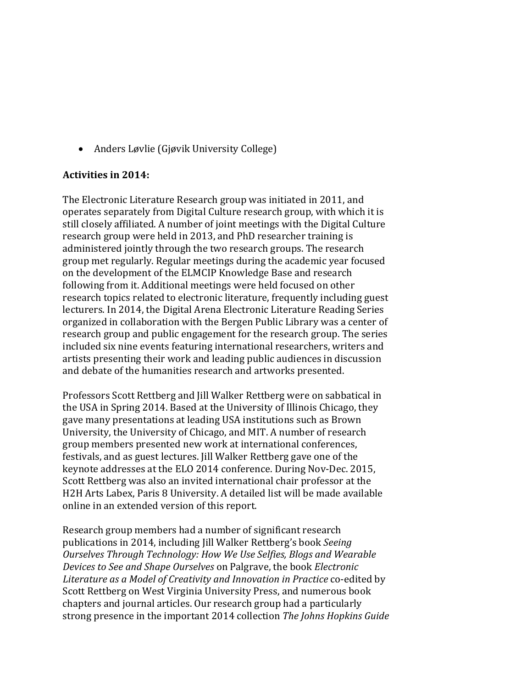• Anders Løvlie (Gjøvik University College)

### **Activities in 2014:**

The Electronic Literature Research group was initiated in 2011, and operates separately from Digital Culture research group, with which it is still closely affiliated. A number of joint meetings with the Digital Culture research group were held in 2013, and PhD researcher training is administered jointly through the two research groups. The research group met regularly. Regular meetings during the academic year focused on the development of the ELMCIP Knowledge Base and research following from it. Additional meetings were held focused on other research topics related to electronic literature, frequently including guest lecturers. In 2014, the Digital Arena Electronic Literature Reading Series organized in collaboration with the Bergen Public Library was a center of research group and public engagement for the research group. The series included six nine events featuring international researchers, writers and artists presenting their work and leading public audiences in discussion and debate of the humanities research and artworks presented.

Professors Scott Rettberg and Jill Walker Rettberg were on sabbatical in the USA in Spring 2014. Based at the University of Illinois Chicago, they gave many presentations at leading USA institutions such as Brown University, the University of Chicago, and MIT. A number of research group members presented new work at international conferences, festivals, and as guest lectures. Jill Walker Rettberg gave one of the keynote addresses at the ELO 2014 conference. During Nov-Dec. 2015, Scott Rettberg was also an invited international chair professor at the H2H Arts Labex, Paris 8 University. A detailed list will be made available online in an extended version of this report.

Research group members had a number of significant research publications in 2014, including Jill Walker Rettberg's book *Seeing* **Ourselves Through Technology: How We Use Selfies, Blogs and Wearable** *Devices to See and Shape Ourselves* on Palgrave, the book *Electronic* Literature as a Model of Creativity and Innovation in Practice co-edited by Scott Rettberg on West Virginia University Press, and numerous book chapters and journal articles. Our research group had a particularly strong presence in the important 2014 collection *The Johns Hopkins Guide*